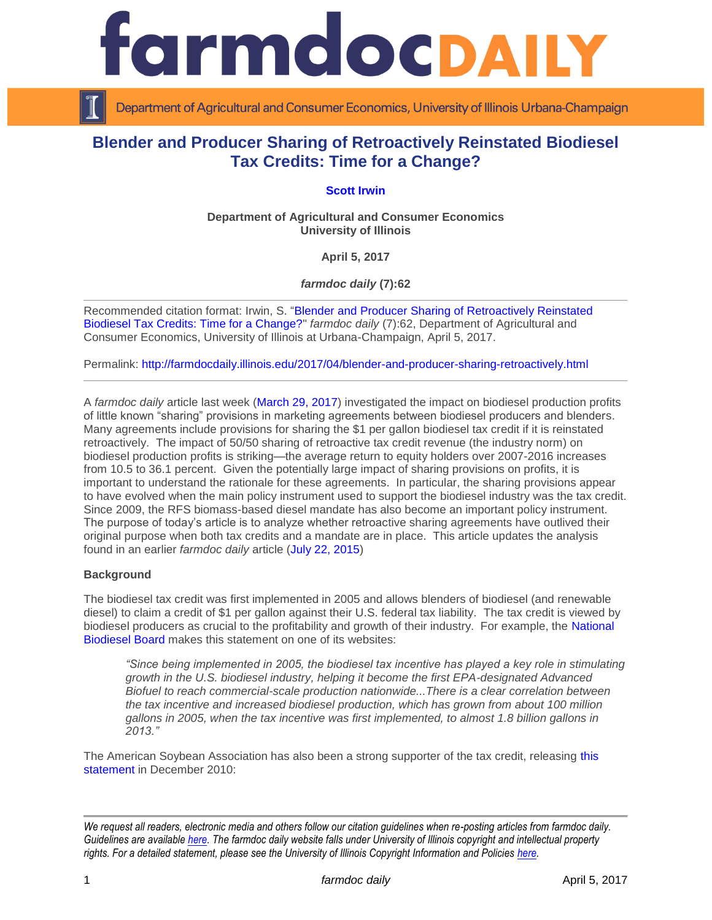

Department of Agricultural and Consumer Economics, University of Illinois Urbana-Champaign

# **Blender and Producer Sharing of Retroactively Reinstated Biodiesel Tax Credits: Time for a Change?**

**[Scott Irwin](http://www.farmdoc.illinois.edu/irwin/)**

**Department of Agricultural and Consumer Economics University of Illinois**

**April 5, 2017**

*farmdoc daily* **(7):62**

Recommended citation format: Irwin, S. ["Blender and Producer Sharing of Retroactively Reinstated](http://farmdocdaily.illinois.edu/2017/04/blender-and-producer-sharing-retroactively.html)  [Biodiesel Tax Credits: Time for a Change?"](http://farmdocdaily.illinois.edu/2017/04/blender-and-producer-sharing-retroactively.html) *farmdoc daily* (7):62, Department of Agricultural and Consumer Economics, University of Illinois at Urbana-Champaign, April 5, 2017.

Permalink: <http://farmdocdaily.illinois.edu/2017/04/blender-and-producer-sharing-retroactively.html>

A *farmdoc daily* article last week [\(March 29, 2017\)](http://farmdocdaily.illinois.edu/2017/03/alternative-view-of-biodiesel-production-profits.html) investigated the impact on biodiesel production profits of little known "sharing" provisions in marketing agreements between biodiesel producers and blenders. Many agreements include provisions for sharing the \$1 per gallon biodiesel tax credit if it is reinstated retroactively. The impact of 50/50 sharing of retroactive tax credit revenue (the industry norm) on biodiesel production profits is striking—the average return to equity holders over 2007-2016 increases from 10.5 to 36.1 percent. Given the potentially large impact of sharing provisions on profits, it is important to understand the rationale for these agreements. In particular, the sharing provisions appear to have evolved when the main policy instrument used to support the biodiesel industry was the tax credit. Since 2009, the RFS biomass-based diesel mandate has also become an important policy instrument. The purpose of today's article is to analyze whether retroactive sharing agreements have outlived their original purpose when both tax credits and a mandate are in place. This article updates the analysis found in an earlier *farmdoc daily* article [\(July 22, 2015\)](http://farmdocdaily.illinois.edu/2015/07/why-blenders-share-retroactively-reinstated-tax.html)

## **Background**

The biodiesel tax credit was first implemented in 2005 and allows blenders of biodiesel (and renewable diesel) to claim a credit of \$1 per gallon against their U.S. federal tax liability. The tax credit is viewed by biodiesel producers as crucial to the profitability and growth of their industry. For example, the [National](http://biodiesel.org/policy/fueling-action-center/tax-incentive-action-page)  [Biodiesel Board](http://biodiesel.org/policy/fueling-action-center/tax-incentive-action-page) makes this statement on one of its websites:

*"Since being implemented in 2005, the biodiesel tax incentive has played a key role in stimulating growth in the U.S. biodiesel industry, helping it become the first EPA-designated Advanced Biofuel to reach commercial-scale production nationwide...There is a clear correlation between the tax incentive and increased biodiesel production, which has grown from about 100 million gallons in 2005, when the tax incentive was first implemented, to almost 1.8 billion gallons in 2013."*

The American Soybean Association has also been a strong supporter of the tax credit, releasing [this](https://soygrowers.com/asa-celebrates-passage-of-retroactive-biodiesel-tax-credit-extension/)  [statement](https://soygrowers.com/asa-celebrates-passage-of-retroactive-biodiesel-tax-credit-extension/) in December 2010:

*We request all readers, electronic media and others follow our citation guidelines when re-posting articles from farmdoc daily. Guidelines are available [here.](http://farmdocdaily.illinois.edu/citationguide.html) The farmdoc daily website falls under University of Illinois copyright and intellectual property rights. For a detailed statement, please see the University of Illinois Copyright Information and Policies [here.](http://www.cio.illinois.edu/policies/copyright/)*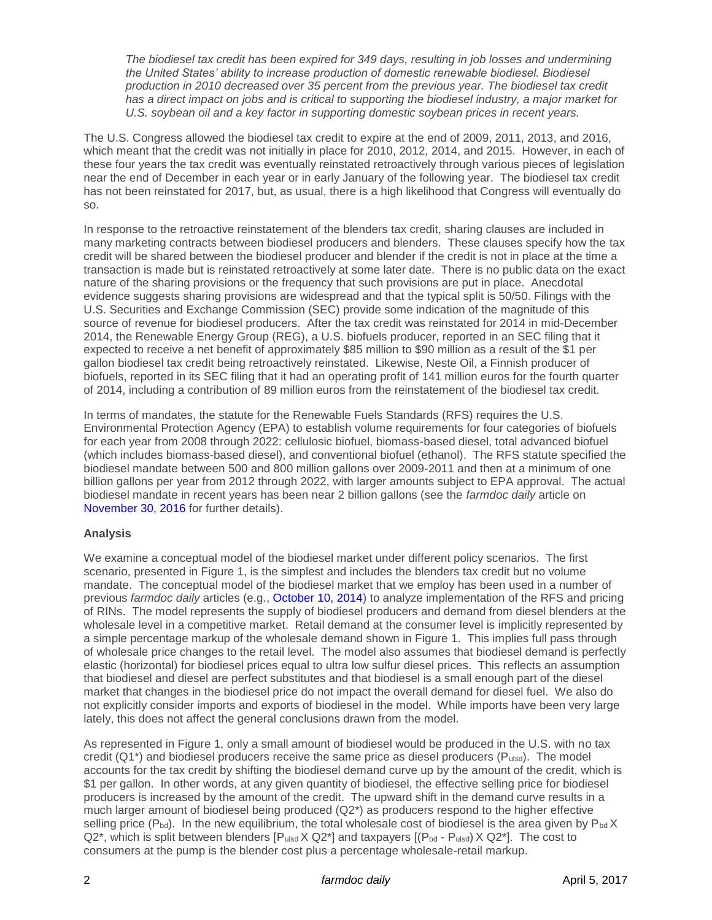*The biodiesel tax credit has been expired for 349 days, resulting in job losses and undermining the United States' ability to increase production of domestic renewable biodiesel. Biodiesel production in 2010 decreased over 35 percent from the previous year. The biodiesel tax credit has a direct impact on jobs and is critical to supporting the biodiesel industry, a major market for U.S. soybean oil and a key factor in supporting domestic soybean prices in recent years.*

The U.S. Congress allowed the biodiesel tax credit to expire at the end of 2009, 2011, 2013, and 2016, which meant that the credit was not initially in place for 2010, 2012, 2014, and 2015. However, in each of these four years the tax credit was eventually reinstated retroactively through various pieces of legislation near the end of December in each year or in early January of the following year. The biodiesel tax credit has not been reinstated for 2017, but, as usual, there is a high likelihood that Congress will eventually do so.

In response to the retroactive reinstatement of the blenders tax credit, sharing clauses are included in many marketing contracts between biodiesel producers and blenders. These clauses specify how the tax credit will be shared between the biodiesel producer and blender if the credit is not in place at the time a transaction is made but is reinstated retroactively at some later date. There is no public data on the exact nature of the sharing provisions or the frequency that such provisions are put in place. Anecdotal evidence suggests sharing provisions are widespread and that the typical split is 50/50. Filings with the U.S. Securities and Exchange Commission (SEC) provide some indication of the magnitude of this source of revenue for biodiesel producers. After the tax credit was reinstated for 2014 in mid-December 2014, the Renewable Energy Group (REG), a U.S. biofuels producer, reported in an SEC filing that it expected to receive a net benefit of approximately \$85 million to \$90 million as a result of the \$1 per gallon biodiesel tax credit being retroactively reinstated. Likewise, Neste Oil, a Finnish producer of biofuels, reported in its SEC filing that it had an operating profit of 141 million euros for the fourth quarter of 2014, including a contribution of 89 million euros from the reinstatement of the biodiesel tax credit.

In terms of mandates, the statute for the Renewable Fuels Standards (RFS) requires the U.S. Environmental Protection Agency (EPA) to establish volume requirements for four categories of biofuels for each year from 2008 through 2022: cellulosic biofuel, biomass-based diesel, total advanced biofuel (which includes biomass-based diesel), and conventional biofuel (ethanol). The RFS statute specified the biodiesel mandate between 500 and 800 million gallons over 2009-2011 and then at a minimum of one billion gallons per year from 2012 through 2022, with larger amounts subject to EPA approval. The actual biodiesel mandate in recent years has been near 2 billion gallons (see the *farmdoc daily* article on [November 30, 2016](http://farmdocdaily.illinois.edu/2016/11/epa-renewable-fuel-standard-rulemaking-2017.html) for further details).

## **Analysis**

We examine a conceptual model of the biodiesel market under different policy scenarios. The first scenario, presented in Figure 1, is the simplest and includes the blenders tax credit but no volume mandate. The conceptual model of the biodiesel market that we employ has been used in a number of previous *farmdoc daily* articles (e.g., [October 10, 2014\)](http://farmdocdaily.illinois.edu/2014/10/understanding-behavior-of-biodiesel-rins-prices.html) to analyze implementation of the RFS and pricing of RINs. The model represents the supply of biodiesel producers and demand from diesel blenders at the wholesale level in a competitive market. Retail demand at the consumer level is implicitly represented by a simple percentage markup of the wholesale demand shown in Figure 1. This implies full pass through of wholesale price changes to the retail level. The model also assumes that biodiesel demand is perfectly elastic (horizontal) for biodiesel prices equal to ultra low sulfur diesel prices. This reflects an assumption that biodiesel and diesel are perfect substitutes and that biodiesel is a small enough part of the diesel market that changes in the biodiesel price do not impact the overall demand for diesel fuel. We also do not explicitly consider imports and exports of biodiesel in the model. While imports have been very large lately, this does not affect the general conclusions drawn from the model.

As represented in Figure 1, only a small amount of biodiesel would be produced in the U.S. with no tax credit  $(Q1^*)$  and biodiesel producers receive the same price as diesel producers  $(P_{ulsd})$ . The model accounts for the tax credit by shifting the biodiesel demand curve up by the amount of the credit, which is \$1 per gallon. In other words, at any given quantity of biodiesel, the effective selling price for biodiesel producers is increased by the amount of the credit. The upward shift in the demand curve results in a much larger amount of biodiesel being produced (Q2\*) as producers respond to the higher effective selling price ( $P_{bd}$ ). In the new equilibrium, the total wholesale cost of biodiesel is the area given by  $P_{bd}$  X  $Q2^*$ , which is split between blenders  $[P_{uls} \times Q2^*]$  and taxpayers  $[(P_{bd} - P_{uls} \times Q2^*]$ . The cost to consumers at the pump is the blender cost plus a percentage wholesale-retail markup.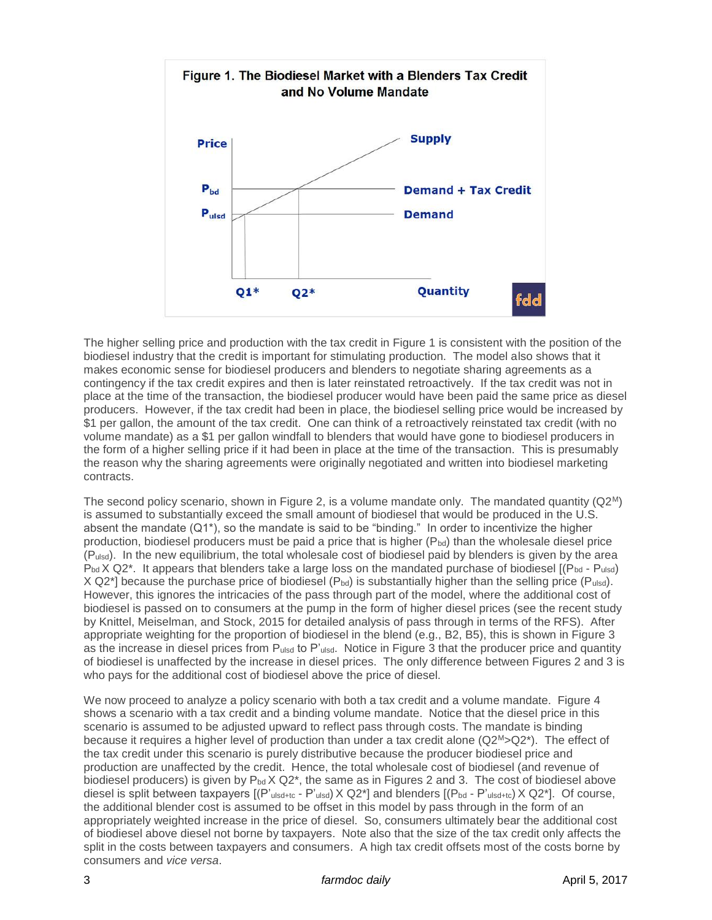

The higher selling price and production with the tax credit in Figure 1 is consistent with the position of the biodiesel industry that the credit is important for stimulating production. The model also shows that it makes economic sense for biodiesel producers and blenders to negotiate sharing agreements as a contingency if the tax credit expires and then is later reinstated retroactively. If the tax credit was not in place at the time of the transaction, the biodiesel producer would have been paid the same price as diesel producers. However, if the tax credit had been in place, the biodiesel selling price would be increased by \$1 per gallon, the amount of the tax credit. One can think of a retroactively reinstated tax credit (with no volume mandate) as a \$1 per gallon windfall to blenders that would have gone to biodiesel producers in the form of a higher selling price if it had been in place at the time of the transaction. This is presumably the reason why the sharing agreements were originally negotiated and written into biodiesel marketing contracts.

The second policy scenario, shown in Figure 2, is a volume mandate only. The mandated quantity  $(Q2^M)$ is assumed to substantially exceed the small amount of biodiesel that would be produced in the U.S. absent the mandate (Q1\*), so the mandate is said to be "binding." In order to incentivize the higher production, biodiesel producers must be paid a price that is higher  $(P_{bd})$  than the wholesale diesel price (Pulsd). In the new equilibrium, the total wholesale cost of biodiesel paid by blenders is given by the area  $P_{bd}$  X Q2<sup>\*</sup>. It appears that blenders take a large loss on the mandated purchase of biodiesel  $[(P_{bd} - P_{ulsd})]$ X Q2<sup>\*</sup>] because the purchase price of biodiesel (Pbd) is substantially higher than the selling price (Pulsd). However, this ignores the intricacies of the pass through part of the model, where the additional cost of biodiesel is passed on to consumers at the pump in the form of higher diesel prices (see the recent study by Knittel, Meiselman, and Stock, 2015 for detailed analysis of pass through in terms of the RFS). After appropriate weighting for the proportion of biodiesel in the blend (e.g., B2, B5), this is shown in Figure 3 as the increase in diesel prices from Pulsd to P'ulsd. Notice in Figure 3 that the producer price and quantity of biodiesel is unaffected by the increase in diesel prices. The only difference between Figures 2 and 3 is who pays for the additional cost of biodiesel above the price of diesel.

We now proceed to analyze a policy scenario with both a tax credit and a volume mandate. Figure 4 shows a scenario with a tax credit and a binding volume mandate. Notice that the diesel price in this scenario is assumed to be adjusted upward to reflect pass through costs. The mandate is binding because it requires a higher level of production than under a tax credit alone (Q2<sup>M</sup>>Q2<sup>\*</sup>). The effect of the tax credit under this scenario is purely distributive because the producer biodiesel price and production are unaffected by the credit. Hence, the total wholesale cost of biodiesel (and revenue of biodiesel producers) is given by  $P_{bd}$  X Q2<sup>\*</sup>, the same as in Figures 2 and 3. The cost of biodiesel above diesel is split between taxpayers  $[(P_{\text{ulsd}+tc} - P_{\text{ulsd}}) \times Q2^*]$  and blenders  $[(P_{\text{bd}} - P_{\text{ulsd}+tc}) \times Q2^*]$ . Of course, the additional blender cost is assumed to be offset in this model by pass through in the form of an appropriately weighted increase in the price of diesel. So, consumers ultimately bear the additional cost of biodiesel above diesel not borne by taxpayers. Note also that the size of the tax credit only affects the split in the costs between taxpayers and consumers. A high tax credit offsets most of the costs borne by consumers and *vice versa*.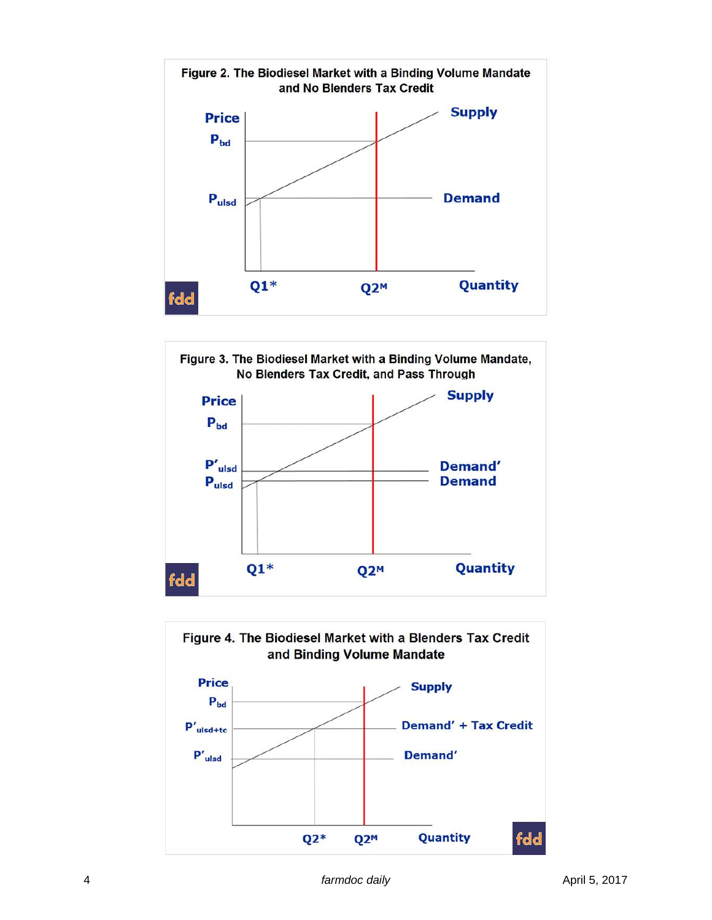



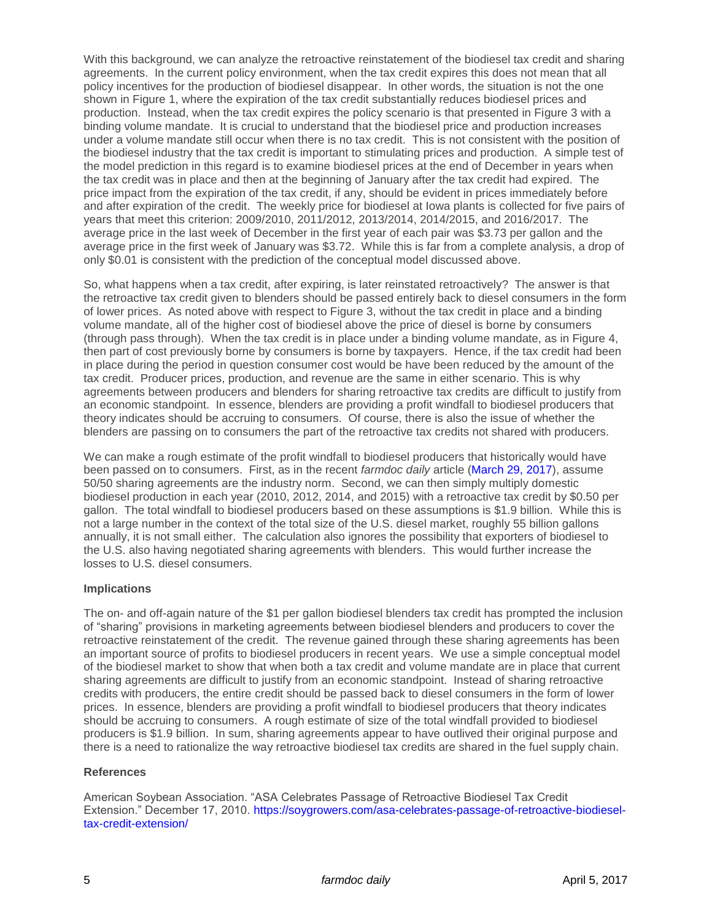With this background, we can analyze the retroactive reinstatement of the biodiesel tax credit and sharing agreements. In the current policy environment, when the tax credit expires this does not mean that all policy incentives for the production of biodiesel disappear. In other words, the situation is not the one shown in Figure 1, where the expiration of the tax credit substantially reduces biodiesel prices and production. Instead, when the tax credit expires the policy scenario is that presented in Figure 3 with a binding volume mandate. It is crucial to understand that the biodiesel price and production increases under a volume mandate still occur when there is no tax credit. This is not consistent with the position of the biodiesel industry that the tax credit is important to stimulating prices and production. A simple test of the model prediction in this regard is to examine biodiesel prices at the end of December in years when the tax credit was in place and then at the beginning of January after the tax credit had expired. The price impact from the expiration of the tax credit, if any, should be evident in prices immediately before and after expiration of the credit. The weekly price for biodiesel at Iowa plants is collected for five pairs of years that meet this criterion: 2009/2010, 2011/2012, 2013/2014, 2014/2015, and 2016/2017. The average price in the last week of December in the first year of each pair was \$3.73 per gallon and the average price in the first week of January was \$3.72. While this is far from a complete analysis, a drop of only \$0.01 is consistent with the prediction of the conceptual model discussed above.

So, what happens when a tax credit, after expiring, is later reinstated retroactively? The answer is that the retroactive tax credit given to blenders should be passed entirely back to diesel consumers in the form of lower prices. As noted above with respect to Figure 3, without the tax credit in place and a binding volume mandate, all of the higher cost of biodiesel above the price of diesel is borne by consumers (through pass through). When the tax credit is in place under a binding volume mandate, as in Figure 4, then part of cost previously borne by consumers is borne by taxpayers. Hence, if the tax credit had been in place during the period in question consumer cost would be have been reduced by the amount of the tax credit. Producer prices, production, and revenue are the same in either scenario. This is why agreements between producers and blenders for sharing retroactive tax credits are difficult to justify from an economic standpoint. In essence, blenders are providing a profit windfall to biodiesel producers that theory indicates should be accruing to consumers. Of course, there is also the issue of whether the blenders are passing on to consumers the part of the retroactive tax credits not shared with producers.

We can make a rough estimate of the profit windfall to biodiesel producers that historically would have been passed on to consumers. First, as in the recent *farmdoc daily* article [\(March 29, 2017\)](http://farmdocdaily.illinois.edu/2017/03/alternative-view-of-biodiesel-production-profits.html), assume 50/50 sharing agreements are the industry norm. Second, we can then simply multiply domestic biodiesel production in each year (2010, 2012, 2014, and 2015) with a retroactive tax credit by \$0.50 per gallon. The total windfall to biodiesel producers based on these assumptions is \$1.9 billion. While this is not a large number in the context of the total size of the U.S. diesel market, roughly 55 billion gallons annually, it is not small either. The calculation also ignores the possibility that exporters of biodiesel to the U.S. also having negotiated sharing agreements with blenders. This would further increase the losses to U.S. diesel consumers.

## **Implications**

The on- and off-again nature of the \$1 per gallon biodiesel blenders tax credit has prompted the inclusion of "sharing" provisions in marketing agreements between biodiesel blenders and producers to cover the retroactive reinstatement of the credit. The revenue gained through these sharing agreements has been an important source of profits to biodiesel producers in recent years. We use a simple conceptual model of the biodiesel market to show that when both a tax credit and volume mandate are in place that current sharing agreements are difficult to justify from an economic standpoint. Instead of sharing retroactive credits with producers, the entire credit should be passed back to diesel consumers in the form of lower prices. In essence, blenders are providing a profit windfall to biodiesel producers that theory indicates should be accruing to consumers. A rough estimate of size of the total windfall provided to biodiesel producers is \$1.9 billion. In sum, sharing agreements appear to have outlived their original purpose and there is a need to rationalize the way retroactive biodiesel tax credits are shared in the fuel supply chain.

#### **References**

American Soybean Association. "ASA Celebrates Passage of Retroactive Biodiesel Tax Credit Extension." December 17, 2010. [https://soygrowers.com/asa-celebrates-passage-of-retroactive-biodiesel](https://soygrowers.com/asa-celebrates-passage-of-retroactive-biodiesel-tax-credit-extension/)[tax-credit-extension/](https://soygrowers.com/asa-celebrates-passage-of-retroactive-biodiesel-tax-credit-extension/)